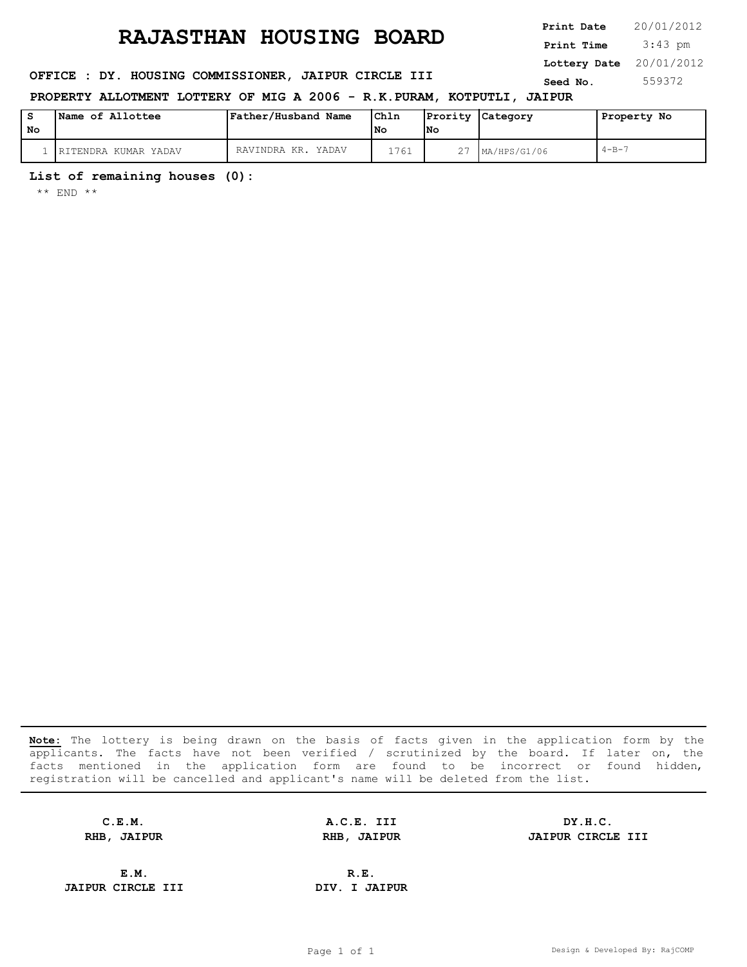# **RAJASTHAN HOUSING BOARD**

 3:43 pm **Print Date**  $20/01/2012$ **Print Time Lottery Date** 20/01/2012

## **OFFICE : DY. HOUSING COMMISSIONER, JAIPUR CIRCLE III** Seed No. 559372

#### **PROPERTY ALLOTMENT LOTTERY OF MIG A 2006 - R.K.PURAM, KOTPUTLI, JAIPUR**

| s  | Name of Allottee      | Father/Husband Name   | Ch1n |     | Prority Category | Property No |
|----|-----------------------|-----------------------|------|-----|------------------|-------------|
| No |                       |                       | l Nc | lNo |                  |             |
|    | IRITENDRA KUMAR YADAV | YADAV<br>RAVINDRA KR. | 1761 |     | MA/HPS/G1/06     | $4 - B - 7$ |

### **List of remaining houses (0):**

\*\* END \*\*

**Note:** The lottery is being drawn on the basis of facts given in the application form by the applicants. The facts have not been verified / scrutinized by the board. If later on, the facts mentioned in the application form are found to be incorrect or found hidden, registration will be cancelled and applicant's name will be deleted from the list.

**C.E.M. A.C.E. III DY.H.C.**

**RHB, JAIPUR RHB, JAIPUR JAIPUR CIRCLE III**

**JAIPUR CIRCLE III DIV. I JAIPUR**

**E.M. R.E.**